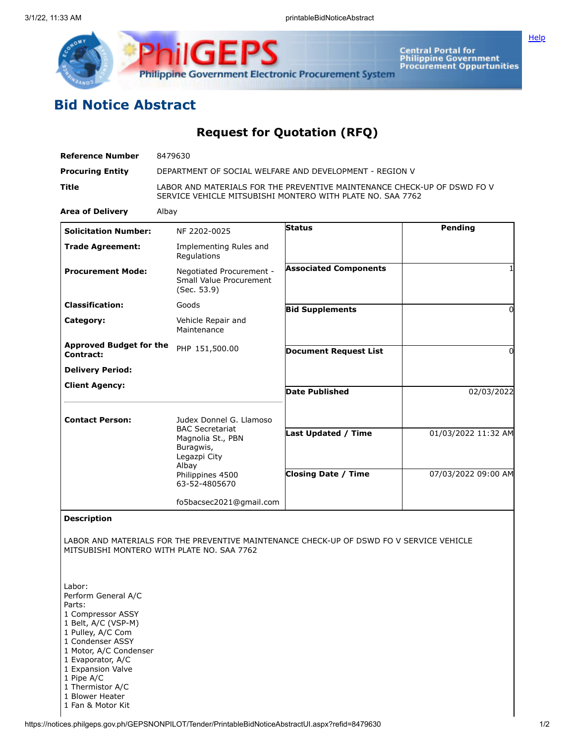



**Central Portal for<br>Philippine Government<br>Procurement Oppurtunities** 

## **Bid Notice Abstract**

**Request for Quotation (RFQ)**

| <b>Reference Number</b>                                                                                                                                                                                                                               | 8479630                                                                                                                                |                                                                                          |                     |
|-------------------------------------------------------------------------------------------------------------------------------------------------------------------------------------------------------------------------------------------------------|----------------------------------------------------------------------------------------------------------------------------------------|------------------------------------------------------------------------------------------|---------------------|
| <b>Procuring Entity</b>                                                                                                                                                                                                                               | DEPARTMENT OF SOCIAL WELFARE AND DEVELOPMENT - REGION V                                                                                |                                                                                          |                     |
| Title                                                                                                                                                                                                                                                 | LABOR AND MATERIALS FOR THE PREVENTIVE MAINTENANCE CHECK-UP OF DSWD FO V<br>SERVICE VEHICLE MITSUBISHI MONTERO WITH PLATE NO. SAA 7762 |                                                                                          |                     |
| <b>Area of Delivery</b>                                                                                                                                                                                                                               | Albay                                                                                                                                  |                                                                                          |                     |
| <b>Solicitation Number:</b>                                                                                                                                                                                                                           | NF 2202-0025                                                                                                                           | <b>Status</b>                                                                            | Pending             |
| <b>Trade Agreement:</b>                                                                                                                                                                                                                               | Implementing Rules and<br>Regulations                                                                                                  |                                                                                          |                     |
| <b>Procurement Mode:</b>                                                                                                                                                                                                                              | Negotiated Procurement -<br>Small Value Procurement<br>(Sec. 53.9)                                                                     | <b>Associated Components</b>                                                             | 1                   |
| <b>Classification:</b>                                                                                                                                                                                                                                | Goods                                                                                                                                  | <b>Bid Supplements</b>                                                                   | $\Omega$            |
| Category:                                                                                                                                                                                                                                             | Vehicle Repair and<br>Maintenance                                                                                                      |                                                                                          |                     |
| <b>Approved Budget for the</b><br>Contract:                                                                                                                                                                                                           | PHP 151,500.00                                                                                                                         | <b>Document Request List</b>                                                             | 0                   |
| <b>Delivery Period:</b>                                                                                                                                                                                                                               |                                                                                                                                        |                                                                                          |                     |
| <b>Client Agency:</b>                                                                                                                                                                                                                                 |                                                                                                                                        | <b>Date Published</b>                                                                    | 02/03/2022          |
|                                                                                                                                                                                                                                                       |                                                                                                                                        |                                                                                          |                     |
| <b>Contact Person:</b>                                                                                                                                                                                                                                | Judex Donnel G. Llamoso<br><b>BAC Secretariat</b><br>Magnolia St., PBN<br>Buragwis,                                                    |                                                                                          |                     |
|                                                                                                                                                                                                                                                       |                                                                                                                                        | Last Updated / Time                                                                      | 01/03/2022 11:32 AM |
|                                                                                                                                                                                                                                                       | Legazpi City<br>Albay                                                                                                                  |                                                                                          |                     |
|                                                                                                                                                                                                                                                       | Philippines 4500<br>63-52-4805670                                                                                                      | <b>Closing Date / Time</b>                                                               | 07/03/2022 09:00 AM |
|                                                                                                                                                                                                                                                       | fo5bacsec2021@gmail.com                                                                                                                |                                                                                          |                     |
| <b>Description</b>                                                                                                                                                                                                                                    |                                                                                                                                        |                                                                                          |                     |
|                                                                                                                                                                                                                                                       | MITSUBISHI MONTERO WITH PLATE NO. SAA 7762                                                                                             | LABOR AND MATERIALS FOR THE PREVENTIVE MAINTENANCE CHECK-UP OF DSWD FO V SERVICE VEHICLE |                     |
| Labor:<br>Perform General A/C<br>Parts:<br>1 Compressor ASSY<br>1 Belt, A/C (VSP-M)<br>1 Pulley, A/C Com<br>1 Condenser ASSY<br>1 Motor, A/C Condenser<br>1 Evaporator, A/C<br>1 Expansion Valve<br>1 Pipe A/C<br>1 Thermistor A/C<br>1 Blower Heater |                                                                                                                                        |                                                                                          |                     |

https://notices.philgeps.gov.ph/GEPSNONPILOT/Tender/PrintableBidNoticeAbstractUI.aspx?refid=8479630 1/2

1 Fan & Motor Kit